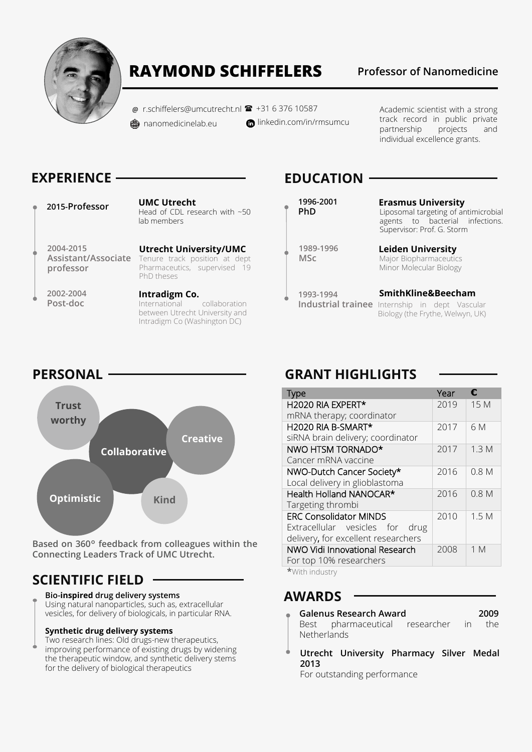

# **RAYMOND SCHIFFELERS Professor of Nanomedicine**

 $\omega$  r.schiffelers@umcutrecht.nl  $\mathbf{R}$  +31 6 376 10587 <del></u>ananomedicinelab.eu</del>

**n** linkedin.com/in/rmsumcu

Academic scientist with a strong track record in public private partnership projects and individual excellence grants.

# **EXPERIENCE**

**2015-Professor UMC Utrecht** Head of CDL research with ~50 lab members

**2004-2015 Assistant/Associate professor**

**2002-2004 Post-doc**

**Utrecht University/UMC**  Tenure track position at dept Pharmaceutics, supervised 19 PhD theses

**Intradigm Co.** International collaboration between Utrecht University and Intradigm Co (Washington DC)

# **EDUCATION**

**1996-2001 PhD**

**Erasmus University** Liposomal targeting of antimicrobial agents to bacterial infections. Supervisor: Prof. G. Storm

**1989-1996 MSc**

**1993-1994**

**Leiden University** Major Biopharmaceutics Minor Molecular Biology

**SmithKline&Beecham**

**Industrial trainee** Internship in dept Vascular Biology (the Frythe, Welwyn, UK)

### **PERSONAL**



**Based on 360**° **feedback from colleagues within the Connecting Leaders Track of UMC Utrecht.**

# **SCIENTIFIC FIELD**

### **Bio-inspired drug delivery systems**

Using natural nanoparticles, such as, extracellular vesicles, for delivery of biologicals, in particular RNA.

### **Synthetic drug delivery systems**

Two research lines: Old drugs-new therapeutics, improving performance of existing drugs by widening the therapeutic window, and synthetic delivery stems for the delivery of biological therapeutics

# **GRANT HIGHLIGHTS**

| <b>Type</b>                         | Year | f.               |
|-------------------------------------|------|------------------|
| H2020 RIA EXPERT*                   | 2019 | 15 M             |
| mRNA therapy; coordinator           |      |                  |
| H2020 RIA B-SMART*                  | 2017 | 6 M              |
| siRNA brain delivery; coordinator   |      |                  |
| NWO HTSM TORNADO*                   | 2017 | 1.3M             |
| Cancer mRNA vaccine                 |      |                  |
| NWO-Dutch Cancer Society*           | 2016 | 0.8 <sub>M</sub> |
| Local delivery in glioblastoma      |      |                  |
| Health Holland NANOCAR*             | 2016 | 0.8 <sub>M</sub> |
| Targeting thrombi                   |      |                  |
| <b>ERC Consolidator MINDS</b>       | 2010 | 1.5M             |
| Extracellular vesicles for<br>drug  |      |                  |
| delivery, for excellent researchers |      |                  |
| NWO Vidi Innovational Research      | 2008 | 1 M              |
| For top 10% researchers             |      |                  |

**\***With industry

### **AWARDS**

- **Galenus Research Award 2009** Best pharmaceutical researcher in the
- **Netherlands**
- **Utrecht University Pharmacy Silver Medal 2013**

For outstanding performance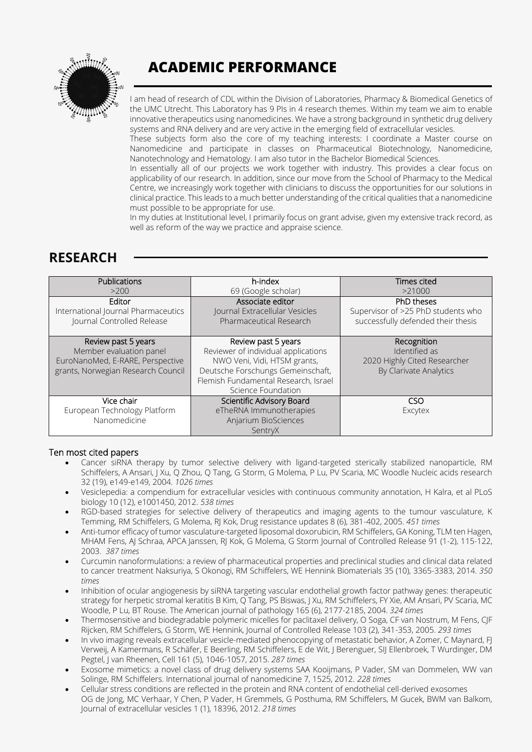

# **ACADEMIC PERFORMANCE**

I am head of research of CDL within the Division of Laboratories, Pharmacy & Biomedical Genetics of the UMC Utrecht. This Laboratory has 9 PIs in 4 research themes. Within my team we aim to enable innovative therapeutics using nanomedicines. We have a strong background in synthetic drug delivery systems and RNA delivery and are very active in the emerging field of extracellular vesicles.

These subjects form also the core of my teaching interests: I coordinate a Master course on Nanomedicine and participate in classes on Pharmaceutical Biotechnology, Nanomedicine, Nanotechnology and Hematology. I am also tutor in the Bachelor Biomedical Sciences.

In essentially all of our projects we work together with industry. This provides a clear focus on applicability of our research. In addition, since our move from the School of Pharmacy to the Medical Centre, we increasingly work together with clinicians to discuss the opportunities for our solutions in clinical practice. This leads to a much better understanding of the critical qualities that a nanomedicine must possible to be appropriate for use.

In my duties at Institutional level, I primarily focus on grant advise, given my extensive track record, as well as reform of the way we practice and appraise science.

## **RESEARCH**

| Publications                                                                                                             | h-index                                                                                                                                                                                       | Times cited                                                                            |
|--------------------------------------------------------------------------------------------------------------------------|-----------------------------------------------------------------------------------------------------------------------------------------------------------------------------------------------|----------------------------------------------------------------------------------------|
| >200                                                                                                                     | 69 (Google scholar)                                                                                                                                                                           | >21000                                                                                 |
| Editor                                                                                                                   | Associate editor                                                                                                                                                                              | PhD theses                                                                             |
| International Journal Pharmaceutics                                                                                      | Journal Extracellular Vesicles                                                                                                                                                                | Supervisor of >25 PhD students who                                                     |
| Journal Controlled Release                                                                                               | Pharmaceutical Research                                                                                                                                                                       | successfully defended their thesis                                                     |
| Review past 5 years<br>Member evaluation panel<br>EuroNanoMed, E-RARE, Perspective<br>grants, Norwegian Research Council | Review past 5 years<br>Reviewer of individual applications<br>NWO Veni, Vidi, HTSM grants,<br>Deutsche Forschungs Gemeinschaft,<br>Flemish Fundamental Research, Israel<br>Science Foundation | Recognition<br>Identified as<br>2020 Highly Cited Researcher<br>By Clarivate Analytics |
| Vice chair<br>European Technology Platform<br>Nanomedicine                                                               | Scientific Advisory Board<br>eTheRNA Immunotherapies<br>Anjarium BioSciences<br>SentryX                                                                                                       | CSO<br>Excytex                                                                         |

### Ten most cited papers

- Cancer siRNA therapy by tumor selective delivery with ligand-targeted sterically stabilized nanoparticle, RM Schiffelers, A Ansari, J Xu, Q Zhou, Q Tang, G Storm, G Molema, P Lu, PV Scaria, MC Woodle Nucleic acids research 32 (19), e149-e149, 2004. *1026 times*
- Vesiclepedia: a compendium for extracellular vesicles with continuous community annotation, H Kalra, et al PLoS biology 10 (12), e1001450, 2012. *538 times*
- RGD-based strategies for selective delivery of therapeutics and imaging agents to the tumour vasculature, K Temming, RM Schiffelers, G Molema, RJ Kok, Drug resistance updates 8 (6), 381-402, 2005. *451 times*
- Anti-tumor efficacy of tumor vasculature-targeted liposomal doxorubicin, RM Schiffelers, GA Koning, TLM ten Hagen, MHAM Fens, AJ Schraa, APCA Janssen, RJ Kok, G Molema, G Storm Journal of Controlled Release 91 (1-2), 115-122, 2003. *387 times*
- Curcumin nanoformulations: a review of pharmaceutical properties and preclinical studies and clinical data related to cancer treatment Naksuriya, S Okonogi, RM Schiffelers, WE Hennink Biomaterials 35 (10), 3365-3383, 2014. *350 times*
- Inhibition of ocular angiogenesis by siRNA targeting vascular endothelial growth factor pathway genes: therapeutic strategy for herpetic stromal keratitis B Kim, Q Tang, PS Biswas, J Xu, RM Schiffelers, FY Xie, AM Ansari, PV Scaria, MC Woodle, P Lu, BT Rouse. The American journal of pathology 165 (6), 2177-2185, 2004. *324 times*
- Thermosensitive and biodegradable polymeric micelles for paclitaxel delivery, O Soga, CF van Nostrum, M Fens, CJF Rijcken, RM Schiffelers, G Storm, WE Hennink, Journal of Controlled Release 103 (2), 341-353, 2005. *293 times*
- In vivo imaging reveals extracellular vesicle-mediated phenocopying of metastatic behavior, A Zomer, C Maynard, FJ Verweij, A Kamermans, R Schäfer, E Beerling, RM Schiffelers, E de Wit, J Berenguer, SIJ Ellenbroek, T Wurdinger, DM Pegtel, J van Rheenen, Cell 161 (5), 1046-1057, 2015. *287 times*
- Exosome mimetics: a novel class of drug delivery systems SAA Kooijmans, P Vader, SM van Dommelen, WW van Solinge, RM Schiffelers. International journal of nanomedicine 7, 1525, 2012. *228 times*
- Cellular stress conditions are reflected in the protein and RNA content of endothelial cell-derived exosomes OG de Jong, MC Verhaar, Y Chen, P Vader, H Gremmels, G Posthuma, RM Schiffelers, M Gucek, BWM van Balkom, Journal of extracellular vesicles 1 (1), 18396, 2012. *218 times*